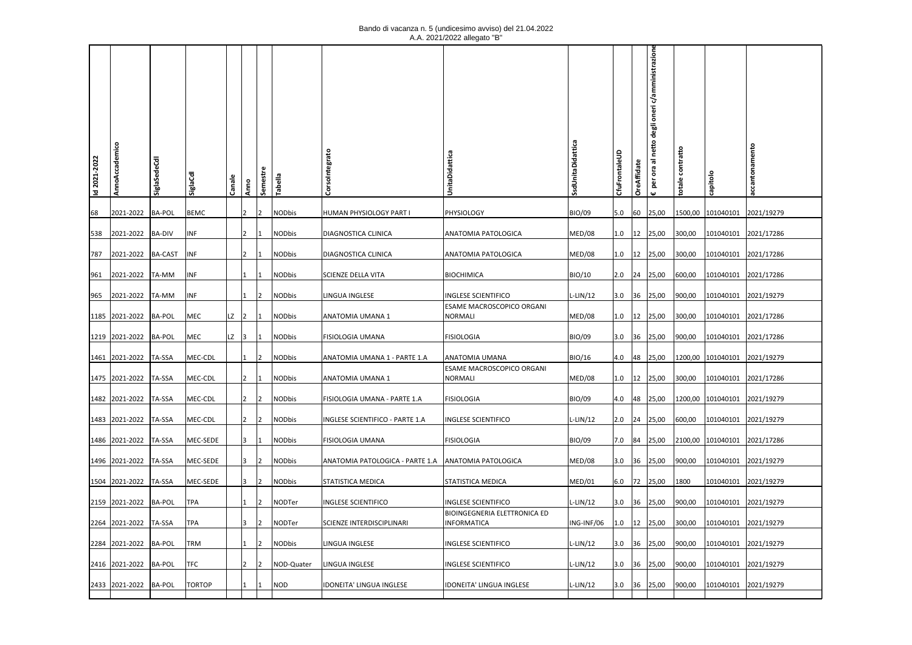## Bando di vacanza n. 5 (undicesimo avviso) del 21.04.2022 A.A. 2021/2022 allegato "B"

| Id 2021-2022 | AnnoAccademico        | SiglaSedeCdl  | <b>SiglaCd</b> | Cana           | Anno                                                            | Semestre       | Tabella       | Corsolntegrato                                       | UnitaDidattica                                      | SsdUnitaDidattica | CfuFrontaleUD | OreAffidate | oneri c/amministrazion<br>degli<br>netto<br>힖 | totale contratto | capitolo                     | ccantonamento |
|--------------|-----------------------|---------------|----------------|----------------|-----------------------------------------------------------------|----------------|---------------|------------------------------------------------------|-----------------------------------------------------|-------------------|---------------|-------------|-----------------------------------------------|------------------|------------------------------|---------------|
| 68           | 2021-2022             | <b>BA-POL</b> | <b>BEMC</b>    | 12             |                                                                 | 12             | <b>NODbis</b> | HUMAN PHYSIOLOGY PART I                              | PHYSIOLOGY                                          | BIO/09            | 5.0           | 60          | 25,00                                         |                  | 1500,00 101040101            | 2021/19279    |
| 538          | 2021-2022             | <b>BA-DIV</b> | INF            | $\overline{2}$ |                                                                 |                | NODbis        | DIAGNOSTICA CLINICA                                  | ANATOMIA PATOLOGICA                                 | <b>MED/08</b>     | 1.0           |             | $ 12 $ 25,00                                  | 300,00           | 101040101 2021/17286         |               |
|              |                       |               |                |                |                                                                 |                |               |                                                      |                                                     |                   |               |             |                                               |                  |                              |               |
| 787          | 2021-2022             | BA-CAST       | <b>INF</b>     | 2              |                                                                 | 11             | <b>NODbis</b> | DIAGNOSTICA CLINICA                                  | ANATOMIA PATOLOGICA                                 | <b>MED/08</b>     |               |             | $1.0$   12   25,00                            | 300,00           | 101040101                    | 2021/17286    |
|              | 961 2021-2022         | TA-MM         | INF            | 1              |                                                                 | 11             | <b>NODbis</b> | SCIENZE DELLA VITA                                   | <b>BIOCHIMICA</b>                                   | BIO/10            |               |             | $2.0$ 24 25,00                                | 600,00           | 101040101                    | 2021/17286    |
|              | 965 2021-2022 TA-MM   |               | INF            |                |                                                                 | $\overline{2}$ | <b>NODbis</b> | LINGUA INGLESE                                       | INGLESE SCIENTIFICO                                 | $L-LIN/12$        |               |             | $3.0$ 36 25,00                                | 900,00           | 101040101 2021/19279         |               |
|              | 1185 2021-2022 BA-POL |               | MEC            | $LZ$ 2         |                                                                 |                | <b>NODbis</b> | ANATOMIA UMANA 1                                     | ESAME MACROSCOPICO ORGANI<br>NORMALI                | <b>MED/08</b>     |               |             | 1.0 12 25,00                                  | 300,00           | 101040101                    | 2021/17286    |
|              | 1219 2021-2022 BA-POL |               | MEC            | $LZ$ 3         |                                                                 |                | <b>NODbis</b> | FISIOLOGIA UMANA                                     | <b>FISIOLOGIA</b>                                   | BIO/09            |               |             | $3.0$ 36 25,00                                | 900,00           | 101040101 2021/17286         |               |
|              | 1461 2021-2022 TA-SSA |               | MEC-CDL        | 11.            |                                                                 | 12             | <b>NODbis</b> | ANATOMIA UMANA 1 - PARTE 1.A                         | ANATOMIA UMANA                                      | BIO/16            |               |             | 4.0 48 25,00                                  | 1200,00          | 101040101                    | 2021/19279    |
|              |                       |               |                |                |                                                                 |                |               |                                                      | ESAME MACROSCOPICO ORGANI                           |                   |               |             |                                               |                  |                              |               |
|              | 1475 2021-2022 TA-SSA |               | MEC-CDL        | 2              |                                                                 |                | NODbis        | ANATOMIA UMANA 1                                     | NORMALI                                             | MED/08            |               |             | 1.0   12   25,00                              | 300,00           | 101040101 2021/17286         |               |
|              | 1482 2021-2022 TA-SSA |               | MEC-CDL        |                |                                                                 | 12             | <b>NODbis</b> | FISIOLOGIA UMANA - PARTE 1.A                         | <b>FISIOLOGIA</b>                                   | BIO/09            |               |             | 4.0 48 25,00                                  |                  | 1200,00 101040101 2021/19279 |               |
|              | 1483 2021-2022 TA-SSA |               | MEC-CDL        | $\overline{2}$ |                                                                 | $\overline{2}$ | <b>NODbis</b> | INGLESE SCIENTIFICO - PARTE 1.A                      | INGLESE SCIENTIFICO                                 | L-LIN/12          |               |             | $2.0$ 24 25,00                                | 600,00           | 101040101 2021/19279         |               |
|              | 1486 2021-2022        | TA-SSA        | MEC-SEDE       |                | $\begin{array}{ c c c c c } \hline 3 & 1 \\ \hline \end{array}$ |                | <b>NODbis</b> | FISIOLOGIA UMANA                                     | <b>FISIOLOGIA</b>                                   | BIO/09            |               |             | 7.0 84 25,00                                  | 2100,00          | 101040101                    | 2021/17286    |
|              | 1496 2021-2022        | TA-SSA        | MEC-SEDE       | 13             |                                                                 | $ 2\rangle$    | <b>NODbis</b> | ANATOMIA PATOLOGICA - PARTE 1.A  ANATOMIA PATOLOGICA |                                                     | <b>MED/08</b>     |               |             | $3.0$ 36 25,00                                | 900,00           | 101040101                    | 2021/19279    |
|              | 1504 2021-2022 TA-SSA |               | MEC-SEDE       | 13             |                                                                 | 12             | <b>NODbis</b> | STATISTICA MEDICA                                    | STATISTICA MEDICA                                   | MED/01            |               |             | $6.0$   72   25,00                            | 1800             | 101040101 2021/19279         |               |
|              |                       |               |                |                |                                                                 |                |               |                                                      |                                                     |                   |               |             |                                               |                  |                              |               |
|              | 2159 2021-2022 BA-POL |               | <b>TPA</b>     |                |                                                                 | 2              | NODTer        | INGLESE SCIENTIFICO                                  | INGLESE SCIENTIFICO<br>BIOINGEGNERIA ELETTRONICA ED | $L-LIN/12$        |               |             | $3.0$ 36 25,00                                | 900,00           | 101040101                    | 2021/19279    |
|              | 2264 2021-2022 TA-SSA |               | <b>TPA</b>     | 3              |                                                                 | 12             | NODTer        | SCIENZE INTERDISCIPLINARI                            | INFORMATICA                                         | ING-INF/06        |               |             | $1.0$   12   25,00                            | 300,00           | 101040101                    | 2021/19279    |
|              | 2284 2021-2022        | <b>BA-POL</b> | <b>TRM</b>     | 1              |                                                                 | 2              | <b>NODbis</b> | LINGUA INGLESE                                       | <b>INGLESE SCIENTIFICO</b>                          | $L-LIN/12$        |               |             | $3.0$ 36 25,00                                | 900,00           | 101040101                    | 2021/19279    |
|              | 2416 2021-2022 BA-POL |               | <b>TFC</b>     |                |                                                                 | $\overline{2}$ | NOD-Quater    | LINGUA INGLESE                                       | INGLESE SCIENTIFICO                                 | $L-LIN/12$        |               |             | $3.0$ 36 25,00                                | 900,00           | 101040101 2021/19279         |               |
|              | 2433 2021-2022 BA-POL |               | <b>TORTOP</b>  | 11             |                                                                 |                | <b>NOD</b>    | IDONEITA' LINGUA INGLESE                             | IDONEITA' LINGUA INGLESE                            | $L-LIN/12$        |               |             | $3.0$ 36 25,00                                | 900,00           | 101040101 2021/19279         |               |